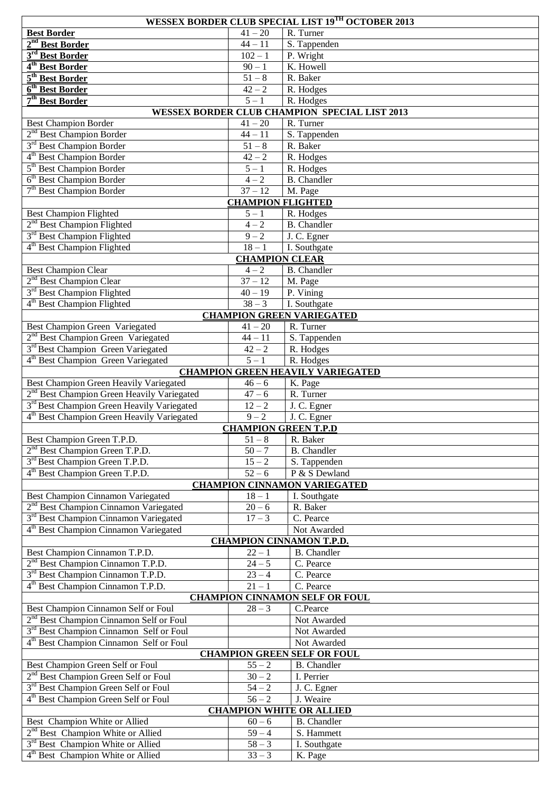| <b>WESSEX BORDER CLUB SPECIAL LIST 19TH OCTOBER 2013</b>                         |                             |                                                                   |  |  |  |  |
|----------------------------------------------------------------------------------|-----------------------------|-------------------------------------------------------------------|--|--|--|--|
| <b>Best Border</b>                                                               | $41 - 20$                   | R. Turner                                                         |  |  |  |  |
| 2 <sup>nd</sup> Best Border                                                      | $44 - 11$                   | S. Tappenden                                                      |  |  |  |  |
| 3 <sup>rd</sup> Best Border                                                      | $102 - 1$                   | P. Wright                                                         |  |  |  |  |
| 4 <sup>th</sup> Best Border                                                      | $90 - 1$                    | K. Howell                                                         |  |  |  |  |
| 5 <sup>th</sup> Best Border                                                      | $51 - 8$                    | R. Baker                                                          |  |  |  |  |
| 6 <sup>th</sup> Best Border                                                      | $42 - 2$                    | R. Hodges                                                         |  |  |  |  |
| 7 <sup>th</sup> Best Border                                                      | $\overline{5}-1$            | R. Hodges                                                         |  |  |  |  |
|                                                                                  | $41 - 20$                   | <b>WESSEX BORDER CLUB CHAMPION SPECIAL LIST 2013</b><br>R. Turner |  |  |  |  |
| <b>Best Champion Border</b><br>2 <sup>nd</sup> Best Champion Border              | $44 - 11$                   | S. Tappenden                                                      |  |  |  |  |
| 3 <sup>rd</sup> Best Champion Border                                             | $51 - 8$                    | R. Baker                                                          |  |  |  |  |
| 4 <sup>th</sup> Best Champion Border                                             | $42 - 2$                    | R. Hodges                                                         |  |  |  |  |
| 5 <sup>th</sup> Best Champion Border                                             | $5-1$                       | R. Hodges                                                         |  |  |  |  |
| 6 <sup>th</sup> Best Champion Border                                             | $4 - 2$                     | <b>B.</b> Chandler                                                |  |  |  |  |
| 7 <sup>th</sup> Best Champion Border                                             | $37 - 12$                   | M. Page                                                           |  |  |  |  |
|                                                                                  | <b>CHAMPION FLIGHTED</b>    |                                                                   |  |  |  |  |
| <b>Best Champion Flighted</b>                                                    | $5 - 1$                     | R. Hodges                                                         |  |  |  |  |
| 2 <sup>nd</sup> Best Champion Flighted                                           | $4 - 2$                     | <b>B.</b> Chandler                                                |  |  |  |  |
| 3 <sup>rd</sup> Best Champion Flighted                                           | $9 - 2$                     | J. C. Egner                                                       |  |  |  |  |
| 4 <sup>th</sup> Best Champion Flighted                                           | $18 - 1$                    | I. Southgate                                                      |  |  |  |  |
|                                                                                  | <b>CHAMPION CLEAR</b>       |                                                                   |  |  |  |  |
| <b>Best Champion Clear</b>                                                       | $4-2\,$                     | <b>B.</b> Chandler                                                |  |  |  |  |
| 2 <sup>nd</sup> Best Champion Clear                                              | $\frac{1}{37} - 12$         | M. Page                                                           |  |  |  |  |
| 3 <sup>rd</sup> Best Champion Flighted<br>4 <sup>th</sup> Best Champion Flighted | $40 - 19$<br>$38 - 3$       | P. Vining                                                         |  |  |  |  |
|                                                                                  |                             | I. Southgate<br><b>CHAMPION GREEN VARIEGATED</b>                  |  |  |  |  |
| Best Champion Green Variegated                                                   | $41 - 20$                   | R. Turner                                                         |  |  |  |  |
| 2 <sup>nd</sup> Best Champion Green Variegated                                   | $44 - 11$                   | S. Tappenden                                                      |  |  |  |  |
| 3 <sup>rd</sup> Best Champion Green Variegated                                   | $42 - 2$                    | R. Hodges                                                         |  |  |  |  |
| 4 <sup>th</sup> Best Champion Green Variegated                                   | $\overline{5-1}$            | R. Hodges                                                         |  |  |  |  |
|                                                                                  |                             | <b>CHAMPION GREEN HEAVILY VARIEGATED</b>                          |  |  |  |  |
| Best Champion Green Heavily Variegated                                           | $46 - 6$                    | K. Page                                                           |  |  |  |  |
| 2 <sup>nd</sup> Best Champion Green Heavily Variegated                           | $47 - 6$                    | R. Turner                                                         |  |  |  |  |
| 3 <sup>rd</sup> Best Champion Green Heavily Variegated                           | $12 - 2$                    | J. C. Egner                                                       |  |  |  |  |
| 4 <sup>th</sup> Best Champion Green Heavily Variegated                           | $9 - 2$                     | J. C. Egner                                                       |  |  |  |  |
|                                                                                  | <b>CHAMPION GREEN T.P.D</b> |                                                                   |  |  |  |  |
| Best Champion Green T.P.D.                                                       | $51 - 8$                    | R. Baker                                                          |  |  |  |  |
| 2 <sup>nd</sup> Best Champion Green T.P.D.                                       | $50 - 7$                    | <b>B.</b> Chandler                                                |  |  |  |  |
| 3 <sup>rd</sup> Best Champion Green T.P.D.                                       | $15 - 2$                    | S. Tappenden                                                      |  |  |  |  |
| 4 <sup>th</sup> Best Champion Green T.P.D.                                       | $52 - 6$                    | P & S Dewland<br><b>CHAMPION CINNAMON VARIEGATED</b>              |  |  |  |  |
| Best Champion Cinnamon Variegated                                                | $18 - 1$                    | I. Southgate                                                      |  |  |  |  |
| 2 <sup>nd</sup> Best Champion Cinnamon Variegated                                | $20 - 6$                    | R. Baker                                                          |  |  |  |  |
| 3 <sup>rd</sup> Best Champion Cinnamon Variegated                                | $17 - 3$                    | C. Pearce                                                         |  |  |  |  |
| 4 <sup>th</sup> Best Champion Cinnamon Variegated                                |                             | Not Awarded                                                       |  |  |  |  |
|                                                                                  |                             | <b>CHAMPION CINNAMON T.P.D.</b>                                   |  |  |  |  |
| Best Champion Cinnamon T.P.D.                                                    | $22 - 1$                    | <b>B.</b> Chandler                                                |  |  |  |  |
| 2 <sup>nd</sup> Best Champion Cinnamon T.P.D.                                    | $24 - 5$                    | C. Pearce                                                         |  |  |  |  |
| 3 <sup>rd</sup> Best Champion Cinnamon T.P.D.                                    | $23 - 4$                    | C. Pearce                                                         |  |  |  |  |
| 4 <sup>th</sup> Best Champion Cinnamon T.P.D.                                    | $21 - 1$                    | C. Pearce                                                         |  |  |  |  |
|                                                                                  |                             | <b>CHAMPION CINNAMON SELF OR FOUL</b>                             |  |  |  |  |
| Best Champion Cinnamon Self or Foul                                              | $28 - 3$                    | C.Pearce                                                          |  |  |  |  |
| 2 <sup>nd</sup> Best Champion Cinnamon Self or Foul                              |                             | Not Awarded                                                       |  |  |  |  |
| 3 <sup>rd</sup> Best Champion Cinnamon Self or Foul                              |                             | Not Awarded                                                       |  |  |  |  |
| 4 <sup>th</sup> Best Champion Cinnamon Self or Foul                              |                             | Not Awarded                                                       |  |  |  |  |
| Best Champion Green Self or Foul                                                 | $55 - 2$                    | <b>CHAMPION GREEN SELF OR FOUL</b><br><b>B.</b> Chandler          |  |  |  |  |
| 2 <sup>nd</sup> Best Champion Green Self or Foul                                 | $30 - 2$                    | I. Perrier                                                        |  |  |  |  |
| 3 <sup>rd</sup> Best Champion Green Self or Foul                                 | $54 - 2$                    | J. C. Egner                                                       |  |  |  |  |
| 4 <sup>th</sup> Best Champion Green Self or Foul                                 | $56 - 2$                    | J. Weaire                                                         |  |  |  |  |
| <b>CHAMPION WHITE OR ALLIED</b>                                                  |                             |                                                                   |  |  |  |  |
| Best Champion White or Allied                                                    | $60 - 6$                    | <b>B.</b> Chandler                                                |  |  |  |  |
| 2 <sup>nd</sup> Best Champion White or Allied                                    | $59 - 4$                    | S. Hammett                                                        |  |  |  |  |
| 3 <sup>rd</sup> Best Champion White or Allied                                    | $58 - 3$                    | I. Southgate                                                      |  |  |  |  |
| 4 <sup>th</sup> Best Champion White or Allied                                    | $33 - 3$                    | K. Page                                                           |  |  |  |  |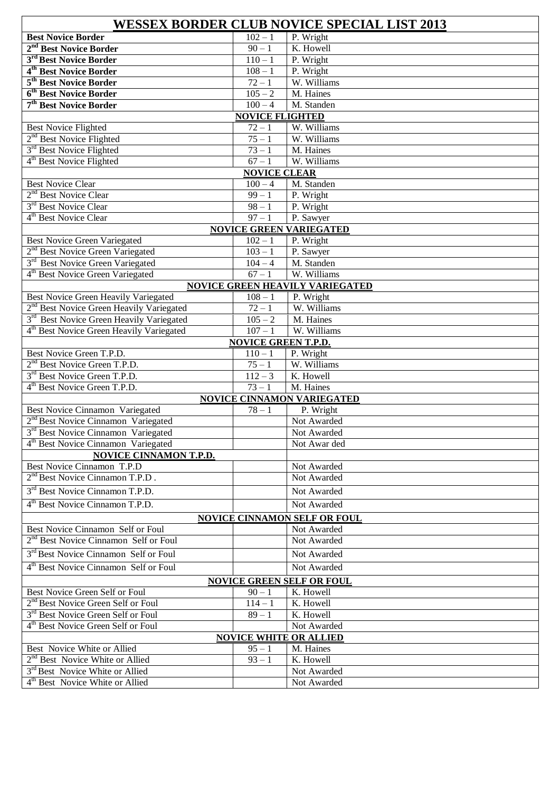| <b>WESSEX BORDER CLUB NOVICE SPECIAL LIST 2013</b>   |                            |                                        |  |  |  |  |  |
|------------------------------------------------------|----------------------------|----------------------------------------|--|--|--|--|--|
| <b>Best Novice Border</b>                            | $102 - 1$                  | P. Wright                              |  |  |  |  |  |
| 2 <sup>nd</sup> Best Novice Border                   | $90 - 1$                   | K. Howell                              |  |  |  |  |  |
| 3 <sup>rd</sup> Best Novice Border                   | $110 - 1$                  | P. Wright                              |  |  |  |  |  |
| 4 <sup>th</sup> Best Novice Border                   | $\frac{108}{-1}$           | P. Wright                              |  |  |  |  |  |
| 5 <sup>th</sup> Best Novice Border                   | $72 - 1$                   | W. Williams                            |  |  |  |  |  |
| 6 <sup>th</sup> Best Novice Border                   | $105 - 2$                  | M. Haines                              |  |  |  |  |  |
| 7 <sup>th</sup> Best Novice Border                   | $100 - 4$                  | M. Standen                             |  |  |  |  |  |
| <b>NOVICE FLIGHTED</b>                               |                            |                                        |  |  |  |  |  |
| <b>Best Novice Flighted</b>                          | $72 - 1$                   | W. Williams                            |  |  |  |  |  |
| 2 <sup>nd</sup> Best Novice Flighted                 | $75 - 1$                   | W. Williams                            |  |  |  |  |  |
| 3 <sup>rd</sup> Best Novice Flighted                 | $73 - 1$                   | M. Haines                              |  |  |  |  |  |
| 4 <sup>th</sup> Best Novice Flighted                 | $67 - 1$                   | W. Williams                            |  |  |  |  |  |
|                                                      | <b>NOVICE CLEAR</b>        |                                        |  |  |  |  |  |
| <b>Best Novice Clear</b>                             | $100 - 4$                  | M. Standen                             |  |  |  |  |  |
| 2 <sup>nd</sup> Best Novice Clear                    | $\overline{9}9 - 1$        | P. Wright                              |  |  |  |  |  |
| 3 <sup>rd</sup> Best Novice Clear                    | $98 - 1$                   | $\overline{P}$ . Wright                |  |  |  |  |  |
| 4 <sup>th</sup> Best Novice Clear                    | $\overline{97} - 1$        | P. Sawyer                              |  |  |  |  |  |
|                                                      |                            | <b>NOVICE GREEN VARIEGATED</b>         |  |  |  |  |  |
| <b>Best Novice Green Variegated</b>                  | $102 - 1$                  | P. Wright                              |  |  |  |  |  |
| 2 <sup>nd</sup> Best Novice Green Variegated         | $103 - 1$                  | P. Sawyer                              |  |  |  |  |  |
| 3 <sup>rd</sup> Best Novice Green Variegated         | $104 - 4$                  | M. Standen                             |  |  |  |  |  |
| 4 <sup>th</sup> Best Novice Green Variegated         | $\frac{67-1}{2}$           | W. Williams                            |  |  |  |  |  |
|                                                      |                            | <b>NOVICE GREEN HEAVILY VARIEGATED</b> |  |  |  |  |  |
| Best Novice Green Heavily Variegated                 | $\frac{1}{108} - 1$        | P. Wright                              |  |  |  |  |  |
| 2 <sup>nd</sup> Best Novice Green Heavily Variegated | $72 - 1$                   | W. Williams                            |  |  |  |  |  |
| 3 <sup>rd</sup> Best Novice Green Heavily Variegated | $105 - 2$                  | M. Haines                              |  |  |  |  |  |
| 4 <sup>th</sup> Best Novice Green Heavily Variegated | $107 - 1$                  | W. Williams                            |  |  |  |  |  |
|                                                      | <b>NOVICE GREEN T.P.D.</b> |                                        |  |  |  |  |  |
| Best Novice Green T.P.D.                             | $110 - 1$                  | P. Wright                              |  |  |  |  |  |
| 2 <sup>nd</sup> Best Novice Green T.P.D.             | $\frac{75-1}{75}$          | W. Williams                            |  |  |  |  |  |
| 3 <sup>rd</sup> Best Novice Green T.P.D.             | $112 - 3$                  | K. Howell                              |  |  |  |  |  |
| 4 <sup>th</sup> Best Novice Green T.P.D.             | $73 - 1$                   | M. Haines                              |  |  |  |  |  |
|                                                      |                            | <b>NOVICE CINNAMON VARIEGATED</b>      |  |  |  |  |  |
| <b>Best Novice Cinnamon Variegated</b>               | $78 - 1$                   | P. Wright                              |  |  |  |  |  |
| 2 <sup>nd</sup> Best Novice Cinnamon Variegated      |                            | Not Awarded                            |  |  |  |  |  |
| 3 <sup>rd</sup> Best Novice Cinnamon Variegated      |                            | Not Awarded                            |  |  |  |  |  |
| 4 <sup>th</sup> Best Novice Cinnamon Variegated      |                            | Not Awar ded                           |  |  |  |  |  |
| <b>NOVICE CINNAMON T.P.D.</b>                        |                            |                                        |  |  |  |  |  |
| Best Novice Cinnamon T.P.D                           |                            | Not Awarded                            |  |  |  |  |  |
| 2 <sup>nd</sup> Best Novice Cinnamon T.P.D.          |                            | Not Awarded                            |  |  |  |  |  |
| 3 <sup>rd</sup> Best Novice Cinnamon T.P.D.          |                            | Not Awarded                            |  |  |  |  |  |
| 4 <sup>th</sup> Best Novice Cinnamon T.P.D.          |                            | Not Awarded                            |  |  |  |  |  |
| <b>NOVICE CINNAMON SELF OR FOUL</b>                  |                            |                                        |  |  |  |  |  |
| Best Novice Cinnamon Self or Foul                    |                            | Not Awarded                            |  |  |  |  |  |
| 2 <sup>nd</sup> Best Novice Cinnamon Self or Foul    |                            | Not Awarded                            |  |  |  |  |  |
|                                                      |                            |                                        |  |  |  |  |  |
| 3 <sup>rd</sup> Best Novice Cinnamon Self or Foul    |                            | Not Awarded                            |  |  |  |  |  |
| 4 <sup>th</sup> Best Novice Cinnamon Self or Foul    |                            | Not Awarded                            |  |  |  |  |  |
|                                                      |                            | <b>NOVICE GREEN SELF OR FOUL</b>       |  |  |  |  |  |
| <b>Best Novice Green Self or Foul</b>                | $90 - 1$                   | K. Howell                              |  |  |  |  |  |
| 2 <sup>nd</sup> Best Novice Green Self or Foul       | $114 - 1$                  | K. Howell                              |  |  |  |  |  |
| 3 <sup>rd</sup> Best Novice Green Self or Foul       | $89 - 1$                   | $\overline{K}$ . Howell                |  |  |  |  |  |
| 4 <sup>th</sup> Best Novice Green Self or Foul       |                            | Not Awarded                            |  |  |  |  |  |
|                                                      |                            | <b>NOVICE WHITE OR ALLIED</b>          |  |  |  |  |  |
| Best Novice White or Allied                          | $95 - 1$                   | M. Haines                              |  |  |  |  |  |
| 2 <sup>nd</sup> Best Novice White or Allied          | $93 - 1$                   | K. Howell                              |  |  |  |  |  |
| 3 <sup>rd</sup> Best Novice White or Allied          |                            | Not Awarded                            |  |  |  |  |  |
| 4 <sup>th</sup> Best Novice White or Allied          |                            | Not Awarded                            |  |  |  |  |  |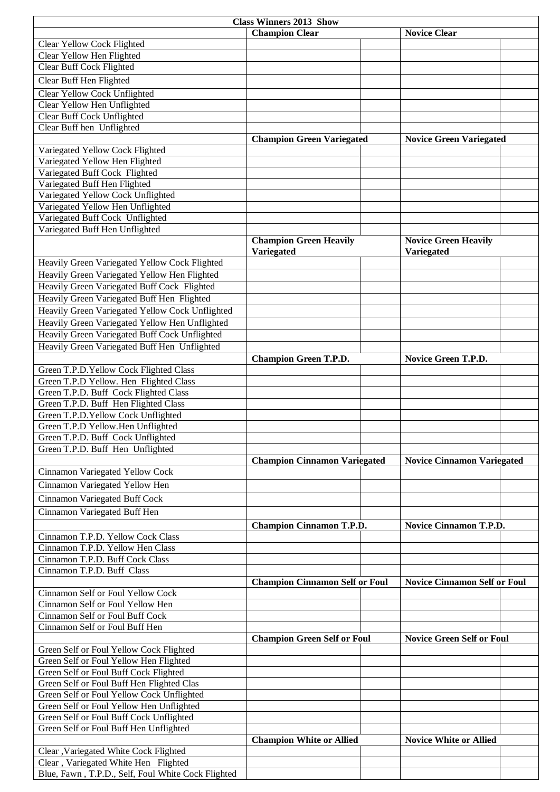| <b>Class Winners 2013 Show</b>                                                  |                                                                          |                                     |  |  |  |  |  |
|---------------------------------------------------------------------------------|--------------------------------------------------------------------------|-------------------------------------|--|--|--|--|--|
|                                                                                 | <b>Champion Clear</b>                                                    | <b>Novice Clear</b>                 |  |  |  |  |  |
| Clear Yellow Cock Flighted                                                      |                                                                          |                                     |  |  |  |  |  |
| Clear Yellow Hen Flighted                                                       |                                                                          |                                     |  |  |  |  |  |
| Clear Buff Cock Flighted                                                        |                                                                          |                                     |  |  |  |  |  |
| Clear Buff Hen Flighted                                                         |                                                                          |                                     |  |  |  |  |  |
| Clear Yellow Cock Unflighted                                                    |                                                                          |                                     |  |  |  |  |  |
| Clear Yellow Hen Unflighted                                                     |                                                                          |                                     |  |  |  |  |  |
| Clear Buff Cock Unflighted                                                      |                                                                          |                                     |  |  |  |  |  |
| Clear Buff hen Unflighted                                                       |                                                                          |                                     |  |  |  |  |  |
|                                                                                 | <b>Champion Green Variegated</b>                                         | <b>Novice Green Variegated</b>      |  |  |  |  |  |
| Variegated Yellow Cock Flighted                                                 |                                                                          |                                     |  |  |  |  |  |
| Variegated Yellow Hen Flighted                                                  |                                                                          |                                     |  |  |  |  |  |
| Variegated Buff Cock Flighted                                                   |                                                                          |                                     |  |  |  |  |  |
| Variegated Buff Hen Flighted                                                    |                                                                          |                                     |  |  |  |  |  |
| Variegated Yellow Cock Unflighted                                               |                                                                          |                                     |  |  |  |  |  |
| Variegated Yellow Hen Unflighted<br>Variegated Buff Cock Unflighted             |                                                                          |                                     |  |  |  |  |  |
| Variegated Buff Hen Unflighted                                                  |                                                                          |                                     |  |  |  |  |  |
|                                                                                 | <b>Champion Green Heavily</b>                                            | <b>Novice Green Heavily</b>         |  |  |  |  |  |
|                                                                                 | <b>Variegated</b>                                                        | Variegated                          |  |  |  |  |  |
| Heavily Green Variegated Yellow Cock Flighted                                   |                                                                          |                                     |  |  |  |  |  |
| Heavily Green Variegated Yellow Hen Flighted                                    |                                                                          |                                     |  |  |  |  |  |
| Heavily Green Variegated Buff Cock Flighted                                     |                                                                          |                                     |  |  |  |  |  |
| Heavily Green Variegated Buff Hen Flighted                                      |                                                                          |                                     |  |  |  |  |  |
| Heavily Green Variegated Yellow Cock Unflighted                                 |                                                                          |                                     |  |  |  |  |  |
| Heavily Green Variegated Yellow Hen Unflighted                                  |                                                                          |                                     |  |  |  |  |  |
| Heavily Green Variegated Buff Cock Unflighted                                   |                                                                          |                                     |  |  |  |  |  |
| Heavily Green Variegated Buff Hen Unflighted                                    |                                                                          |                                     |  |  |  |  |  |
|                                                                                 | <b>Champion Green T.P.D.</b>                                             | Novice Green T.P.D.                 |  |  |  |  |  |
| Green T.P.D. Yellow Cock Flighted Class                                         |                                                                          |                                     |  |  |  |  |  |
| Green T.P.D Yellow. Hen Flighted Class                                          |                                                                          |                                     |  |  |  |  |  |
| Green T.P.D. Buff Cock Flighted Class                                           |                                                                          |                                     |  |  |  |  |  |
| Green T.P.D. Buff Hen Flighted Class                                            |                                                                          |                                     |  |  |  |  |  |
| Green T.P.D.Yellow Cock Unflighted                                              |                                                                          |                                     |  |  |  |  |  |
| Green T.P.D Yellow.Hen Unflighted                                               |                                                                          |                                     |  |  |  |  |  |
| Green T.P.D. Buff Cock Unflighted                                               |                                                                          |                                     |  |  |  |  |  |
| Green T.P.D. Buff Hen Unflighted                                                |                                                                          |                                     |  |  |  |  |  |
|                                                                                 | <b>Champion Cinnamon Variegated</b><br><b>Novice Cinnamon Variegated</b> |                                     |  |  |  |  |  |
| Cinnamon Variegated Yellow Cock                                                 |                                                                          |                                     |  |  |  |  |  |
| Cinnamon Variegated Yellow Hen                                                  |                                                                          |                                     |  |  |  |  |  |
| Cinnamon Variegated Buff Cock                                                   |                                                                          |                                     |  |  |  |  |  |
| Cinnamon Variegated Buff Hen                                                    |                                                                          |                                     |  |  |  |  |  |
|                                                                                 | <b>Champion Cinnamon T.P.D.</b>                                          | Novice Cinnamon T.P.D.              |  |  |  |  |  |
| Cinnamon T.P.D. Yellow Cock Class                                               |                                                                          |                                     |  |  |  |  |  |
| Cinnamon T.P.D. Yellow Hen Class                                                |                                                                          |                                     |  |  |  |  |  |
| Cinnamon T.P.D. Buff Cock Class                                                 |                                                                          |                                     |  |  |  |  |  |
| Cinnamon T.P.D. Buff Class                                                      |                                                                          |                                     |  |  |  |  |  |
|                                                                                 | <b>Champion Cinnamon Self or Foul</b>                                    | <b>Novice Cinnamon Self or Foul</b> |  |  |  |  |  |
| Cinnamon Self or Foul Yellow Cock                                               |                                                                          |                                     |  |  |  |  |  |
| Cinnamon Self or Foul Yellow Hen                                                |                                                                          |                                     |  |  |  |  |  |
| Cinnamon Self or Foul Buff Cock                                                 |                                                                          |                                     |  |  |  |  |  |
| Cinnamon Self or Foul Buff Hen                                                  |                                                                          |                                     |  |  |  |  |  |
|                                                                                 | <b>Champion Green Self or Foul</b>                                       | <b>Novice Green Self or Foul</b>    |  |  |  |  |  |
| Green Self or Foul Yellow Cock Flighted                                         |                                                                          |                                     |  |  |  |  |  |
| Green Self or Foul Yellow Hen Flighted<br>Green Self or Foul Buff Cock Flighted |                                                                          |                                     |  |  |  |  |  |
| Green Self or Foul Buff Hen Flighted Clas                                       |                                                                          |                                     |  |  |  |  |  |
| Green Self or Foul Yellow Cock Unflighted                                       |                                                                          |                                     |  |  |  |  |  |
| Green Self or Foul Yellow Hen Unflighted                                        |                                                                          |                                     |  |  |  |  |  |
| Green Self or Foul Buff Cock Unflighted                                         |                                                                          |                                     |  |  |  |  |  |
| Green Self or Foul Buff Hen Unflighted                                          |                                                                          |                                     |  |  |  |  |  |
|                                                                                 | <b>Champion White or Allied</b>                                          | <b>Novice White or Allied</b>       |  |  |  |  |  |
| Clear , Variegated White Cock Flighted                                          |                                                                          |                                     |  |  |  |  |  |
| Clear, Variegated White Hen Flighted                                            |                                                                          |                                     |  |  |  |  |  |
| Blue, Fawn, T.P.D., Self, Foul White Cock Flighted                              |                                                                          |                                     |  |  |  |  |  |